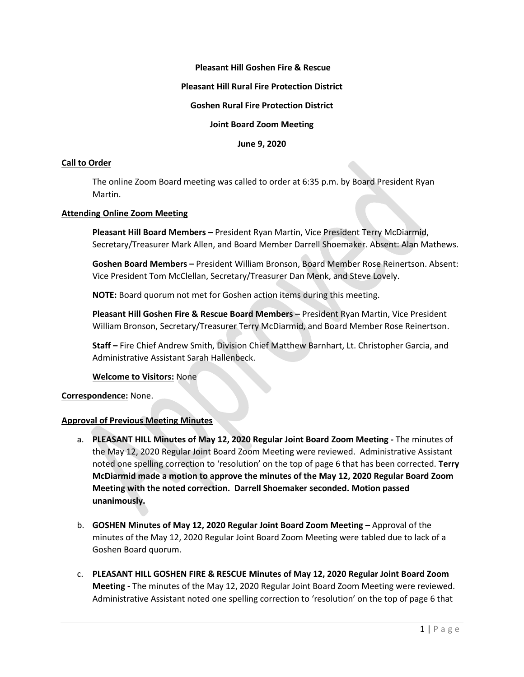### **Pleasant Hill Goshen Fire & Rescue**

### **Pleasant Hill Rural Fire Protection District**

### **Goshen Rural Fire Protection District**

## **Joint Board Zoom Meeting**

**June 9, 2020**

#### **Call to Order**

The online Zoom Board meeting was called to order at 6:35 p.m. by Board President Ryan Martin.

#### **Attending Online Zoom Meeting**

**Pleasant Hill Board Members –** President Ryan Martin, Vice President Terry McDiarmid, Secretary/Treasurer Mark Allen, and Board Member Darrell Shoemaker. Absent: Alan Mathews.

**Goshen Board Members –** President William Bronson, Board Member Rose Reinertson. Absent: Vice President Tom McClellan, Secretary/Treasurer Dan Menk, and Steve Lovely.

**NOTE:** Board quorum not met for Goshen action items during this meeting.

**Pleasant Hill Goshen Fire & Rescue Board Members –** President Ryan Martin, Vice President William Bronson, Secretary/Treasurer Terry McDiarmid, and Board Member Rose Reinertson.

**Staff –** Fire Chief Andrew Smith, Division Chief Matthew Barnhart, Lt. Christopher Garcia, and Administrative Assistant Sarah Hallenbeck.

## **Welcome to Visitors:** None

### **Correspondence:** None.

#### **Approval of Previous Meeting Minutes**

- a. **PLEASANT HILL Minutes of May 12, 2020 Regular Joint Board Zoom Meeting -** The minutes of the May 12, 2020 Regular Joint Board Zoom Meeting were reviewed. Administrative Assistant noted one spelling correction to 'resolution' on the top of page 6 that has been corrected. **Terry McDiarmid made a motion to approve the minutes of the May 12, 2020 Regular Board Zoom Meeting with the noted correction. Darrell Shoemaker seconded. Motion passed unanimously.**
- b. **GOSHEN Minutes of May 12, 2020 Regular Joint Board Zoom Meeting –** Approval of the minutes of the May 12, 2020 Regular Joint Board Zoom Meeting were tabled due to lack of a Goshen Board quorum.
- c. **PLEASANT HILL GOSHEN FIRE & RESCUE Minutes of May 12, 2020 Regular Joint Board Zoom Meeting -** The minutes of the May 12, 2020 Regular Joint Board Zoom Meeting were reviewed. Administrative Assistant noted one spelling correction to 'resolution' on the top of page 6 that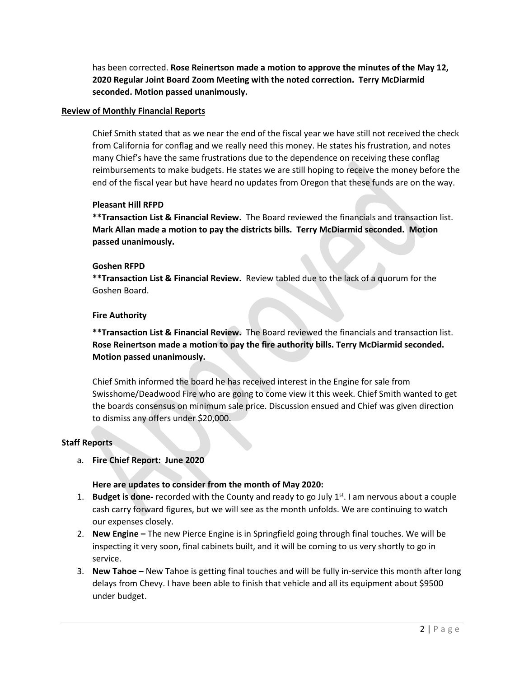has been corrected. **Rose Reinertson made a motion to approve the minutes of the May 12, 2020 Regular Joint Board Zoom Meeting with the noted correction. Terry McDiarmid seconded. Motion passed unanimously.**

## **Review of Monthly Financial Reports**

Chief Smith stated that as we near the end of the fiscal year we have still not received the check from California for conflag and we really need this money. He states his frustration, and notes many Chief's have the same frustrations due to the dependence on receiving these conflag reimbursements to make budgets. He states we are still hoping to receive the money before the end of the fiscal year but have heard no updates from Oregon that these funds are on the way.

# **Pleasant Hill RFPD**

**\*\*Transaction List & Financial Review.** The Board reviewed the financials and transaction list. **Mark Allan made a motion to pay the districts bills. Terry McDiarmid seconded. Motion passed unanimously.**

# **Goshen RFPD**

**\*\*Transaction List & Financial Review.** Review tabled due to the lack of a quorum for the Goshen Board.

# **Fire Authority**

**\*\*Transaction List & Financial Review.** The Board reviewed the financials and transaction list. **Rose Reinertson made a motion to pay the fire authority bills. Terry McDiarmid seconded. Motion passed unanimously.** 

Chief Smith informed the board he has received interest in the Engine for sale from Swisshome/Deadwood Fire who are going to come view it this week. Chief Smith wanted to get the boards consensus on minimum sale price. Discussion ensued and Chief was given direction to dismiss any offers under \$20,000.

# **Staff Reports**

a. **Fire Chief Report: June 2020**

# **Here are updates to consider from the month of May 2020:**

- 1. **Budget is done-** recorded with the County and ready to go July 1<sup>st</sup>. I am nervous about a couple cash carry forward figures, but we will see as the month unfolds. We are continuing to watch our expenses closely.
- 2. **New Engine –** The new Pierce Engine is in Springfield going through final touches. We will be inspecting it very soon, final cabinets built, and it will be coming to us very shortly to go in service.
- 3. **New Tahoe –** New Tahoe is getting final touches and will be fully in-service this month after long delays from Chevy. I have been able to finish that vehicle and all its equipment about \$9500 under budget.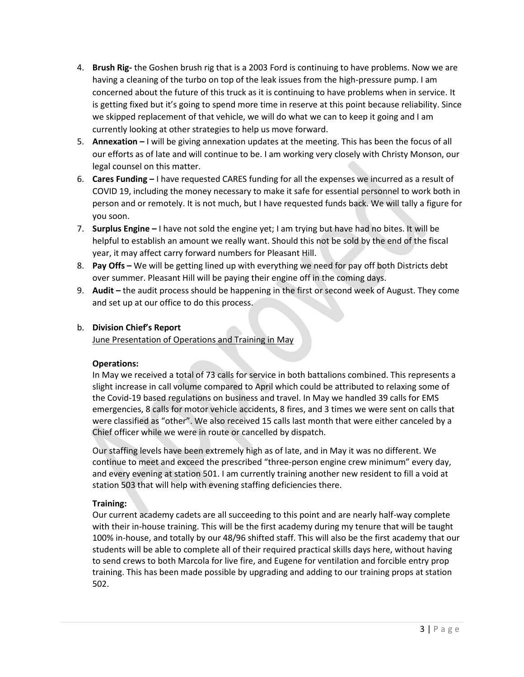- 4. **Brush Rig-** the Goshen brush rig that is a 2003 Ford is continuing to have problems. Now we are having a cleaning of the turbo on top of the leak issues from the high-pressure pump. I am concerned about the future of this truck as it is continuing to have problems when in service. It is getting fixed but it's going to spend more time in reserve at this point because reliability. Since we skipped replacement of that vehicle, we will do what we can to keep it going and I am currently looking at other strategies to help us move forward.
- 5. **Annexation –** I will be giving annexation updates at the meeting. This has been the focus of all our efforts as of late and will continue to be. I am working very closely with Christy Monson, our legal counsel on this matter.
- 6. **Cares Funding –** I have requested CARES funding for all the expenses we incurred as a result of COVID 19, including the money necessary to make it safe for essential personnel to work both in person and or remotely. It is not much, but I have requested funds back. We will tally a figure for you soon.
- 7. **Surplus Engine –** I have not sold the engine yet; I am trying but have had no bites. It will be helpful to establish an amount we really want. Should this not be sold by the end of the fiscal year, it may affect carry forward numbers for Pleasant Hill.
- 8. **Pay Offs –** We will be getting lined up with everything we need for pay off both Districts debt over summer. Pleasant Hill will be paying their engine off in the coming days.
- 9. **Audit –** the audit process should be happening in the first or second week of August. They come and set up at our office to do this process.

# b. **Division Chief's Report**

June Presentation of Operations and Training in May

## **Operations:**

In May we received a total of 73 calls for service in both battalions combined. This represents a slight increase in call volume compared to April which could be attributed to relaxing some of the Covid-19 based regulations on business and travel. In May we handled 39 calls for EMS emergencies, 8 calls for motor vehicle accidents, 8 fires, and 3 times we were sent on calls that were classified as "other". We also received 15 calls last month that were either canceled by a Chief officer while we were in route or cancelled by dispatch.

Our staffing levels have been extremely high as of late, and in May it was no different. We continue to meet and exceed the prescribed "three-person engine crew minimum" every day, and every evening at station 501. I am currently training another new resident to fill a void at station 503 that will help with evening staffing deficiencies there.

# **Training:**

Our current academy cadets are all succeeding to this point and are nearly half-way complete with their in-house training. This will be the first academy during my tenure that will be taught 100% in-house, and totally by our 48/96 shifted staff. This will also be the first academy that our students will be able to complete all of their required practical skills days here, without having to send crews to both Marcola for live fire, and Eugene for ventilation and forcible entry prop training. This has been made possible by upgrading and adding to our training props at station 502.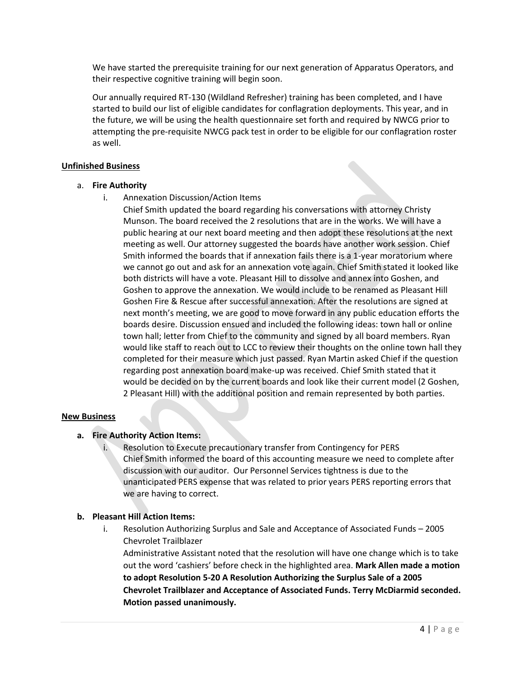We have started the prerequisite training for our next generation of Apparatus Operators, and their respective cognitive training will begin soon.

Our annually required RT-130 (Wildland Refresher) training has been completed, and I have started to build our list of eligible candidates for conflagration deployments. This year, and in the future, we will be using the health questionnaire set forth and required by NWCG prior to attempting the pre-requisite NWCG pack test in order to be eligible for our conflagration roster as well.

### **Unfinished Business**

### a. **Fire Authority**

i. Annexation Discussion/Action Items

Chief Smith updated the board regarding his conversations with attorney Christy Munson. The board received the 2 resolutions that are in the works. We will have a public hearing at our next board meeting and then adopt these resolutions at the next meeting as well. Our attorney suggested the boards have another work session. Chief Smith informed the boards that if annexation fails there is a 1-year moratorium where we cannot go out and ask for an annexation vote again. Chief Smith stated it looked like both districts will have a vote. Pleasant Hill to dissolve and annex into Goshen, and Goshen to approve the annexation. We would include to be renamed as Pleasant Hill Goshen Fire & Rescue after successful annexation. After the resolutions are signed at next month's meeting, we are good to move forward in any public education efforts the boards desire. Discussion ensued and included the following ideas: town hall or online town hall; letter from Chief to the community and signed by all board members. Ryan would like staff to reach out to LCC to review their thoughts on the online town hall they completed for their measure which just passed. Ryan Martin asked Chief if the question regarding post annexation board make-up was received. Chief Smith stated that it would be decided on by the current boards and look like their current model (2 Goshen, 2 Pleasant Hill) with the additional position and remain represented by both parties.

## **New Business**

## **a. Fire Authority Action Items:**

i. Resolution to Execute precautionary transfer from Contingency for PERS Chief Smith informed the board of this accounting measure we need to complete after discussion with our auditor. Our Personnel Services tightness is due to the unanticipated PERS expense that was related to prior years PERS reporting errors that we are having to correct.

## **b. Pleasant Hill Action Items:**

i. Resolution Authorizing Surplus and Sale and Acceptance of Associated Funds – 2005 Chevrolet Trailblazer

Administrative Assistant noted that the resolution will have one change which is to take out the word 'cashiers' before check in the highlighted area. **Mark Allen made a motion to adopt Resolution 5-20 A Resolution Authorizing the Surplus Sale of a 2005 Chevrolet Trailblazer and Acceptance of Associated Funds. Terry McDiarmid seconded. Motion passed unanimously.**